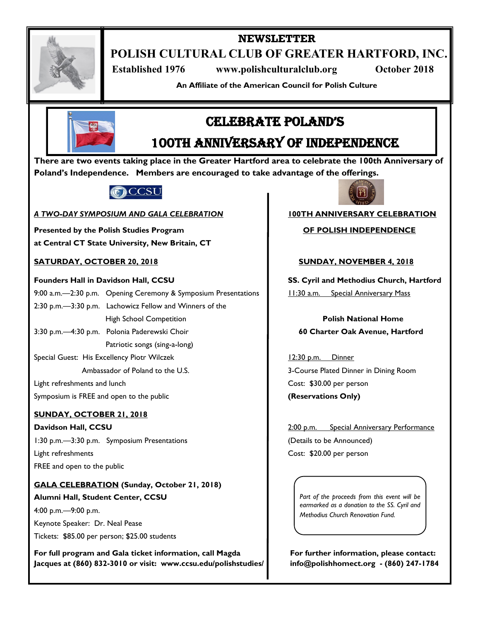

# **NEWSLETTER**

**POLISH CULTURAL CLUB OF GREATER HARTFORD, INC.**

 **Established 1976 www.polishculturalclub.org October 2018**

**An Affiliate of the American Council for Polish Culture**



# CELEBRATE POLAND'S

# 100th anniversary of independence

**There are two events taking place in the Greater Hartford area to celebrate the 100th Anniversary of Poland's Independence. Members are encouraged to take advantage of the offerings.**



### *A TWO-DAY SYMPOSIUM AND GALA CELEBRATION* **100TH ANNIVERSARY CELEBRATION**

**Presented by the Polish Studies Program Network COF POLISH INDEPENDENCE at Central CT State University, New Britain, CT** 

## **SATURDAY, OCTOBER 20, 2018 SUNDAY, NOVEMBER 4, 2018**

9:00 a.m.—2:30 p.m. Opening Ceremony & Symposium Presentations | 11:30 a.m. Special Anniversary Mass 2:30 p.m.—3:30 p.m. Lachowicz Fellow and Winners of the High School Competition **Polish National Home**

Patriotic songs (sing-a-long)

Special Guest: His Excellency Piotr Wilczek 12:30 p.m. Dinner

Light refreshments and lunch Cost: \$30.00 per person

Symposium is FREE and open to the public **CONCOLL CONCONSTITUTE:** (Reservations Only)

# **SUNDAY, OCTOBER 21, 2018**

**Davidson Hall, CCSU** 2:00 p.m. Special Anniversary Performance 1:30 p.m.—3:30 p.m. Symposium Presentations (Details to be Announced) Light refreshments Cost: \$20.00 per person FREE and open to the public

# **GALA CELEBRATION (Sunday, October 21, 2018) Alumni Hall, Student Center, CCSU**

4:00 p.m.—9:00 p.m. Keynote Speaker: Dr. Neal Pease Tickets: \$85.00 per person; \$25.00 students

**For full program and Gala ticket information, call Magda For further information, please contact: Jacques at (860) 832-3010 or visit: www.ccsu.edu/polishstudies/ info@polishhomect.org - (860) 247-1784**



**Founders Hall in Davidson Hall, CCSU SS. Cyril and Methodius Church, Hartford**

3:30 p.m.—4:30 p.m. Polonia Paderewski Choir **60 Charter Oak Avenue, Hartford**

Ambassador of Poland to the U.S. 3-Course Plated Dinner in Dining Room

*Part of the proceeds from this event will be earmarked as a donation to the SS. Cyril and Methodius Church Renovation Fund.*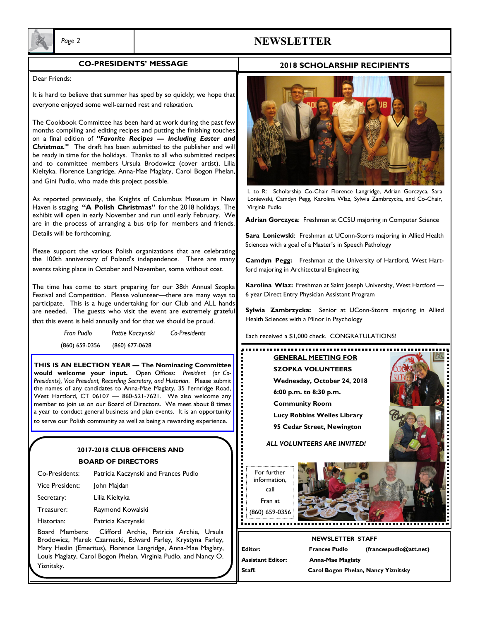

# *Page 2* **NEWSLETTER**

#### **CO-PRESIDENTS' MESSAGE**

#### **2018 SCHOLARSHIP RECIPIENTS**

#### Dear Friends:

It is hard to believe that summer has sped by so quickly; we hope that everyone enjoyed some well-earned rest and relaxation.

The Cookbook Committee has been hard at work during the past few months compiling and editing recipes and putting the finishing touches on a final edition of *"Favorite Recipes — Including Easter and Christmas."* The draft has been submitted to the publisher and will be ready in time for the holidays. Thanks to all who submitted recipes and to committee members Ursula Brodowicz (cover artist), Lilia Kieltyka, Florence Langridge, Anna-Mae Maglaty, Carol Bogon Phelan, and Gini Pudlo, who made this project possible.

As reported previously, the Knights of Columbus Museum in New Haven is staging **"A Polish Christmas"** for the 2018 holidays. The exhibit will open in early November and run until early February. We are in the process of arranging a bus trip for members and friends. Details will be forthcoming.

Please support the various Polish organizations that are celebrating the 100th anniversary of Poland's independence. There are many events taking place in October and November, some without cost.

The time has come to start preparing for our 38th Annual Szopka Festival and Competition. Please volunteer—there are many ways to participate. This is a huge undertaking for our Club and ALL hands are needed. The guests who visit the event are extremely grateful that this event is held annually and for that we should be proud.

| Fran Pudlo       | Pattie Kaczynski | Co-Presidents |
|------------------|------------------|---------------|
| $(860) 659-0356$ | $(860)$ 677-0628 |               |

**THIS IS AN ELECTION YEAR — The Nominating Committee would welcome your input.** Open Offices: *President (or Co-Presidents), Vice President, Recording Secretary, and Historian*. Please submit the names of any candidates to Anna-Mae Maglaty, 35 Fernridge Road, West Hartford, CT 06107 — 860-521-7621. We also welcome any member to join us on our Board of Directors. We meet about 8 times a year to conduct general business and plan events. It is an opportunity to serve our Polish community as well as being a rewarding experience.

### **2017-2018 CLUB OFFICERS AND**

#### **BOARD OF DIRECTORS**

| Co-Presidents:  | Patricia Kaczynski and Frances Pudlo                                                                    |
|-----------------|---------------------------------------------------------------------------------------------------------|
| Vice President: | John Majdan                                                                                             |
| Secretary:      | Lilia Kieltyka                                                                                          |
| Treasurer:      | Raymond Kowalski                                                                                        |
| Historian:      | Patricia Kaczynski                                                                                      |
| Board Members:  | Clifford Archie, Patricia Archie, Ursula<br>Brodowicz, Marek Czarnecki, Edward Farley, Krystyna Farley, |

Brodowicz, Marek Czarnecki, Edward Farley, Krystyna Farley, Mary Heslin (Emeritus), Florence Langridge, Anna-Mae Maglaty, Louis Maglaty, Carol Bogon Phelan, Virginia Pudlo, and Nancy O. Yiznitsky.



L to R: Scholarship Co-Chair Florence Langridge, Adrian Gorczyca, Sara Loniewski, Camdyn Pegg, Karolina Wlaz, Sylwia Zambrzycka, and Co-Chair, Virginia Pudlo

**Adrian Gorczyca**: Freshman at CCSU majoring in Computer Science

**Sara Loniewski**: Freshman at UConn-Storrs majoring in Allied Health Sciences with a goal of a Master's in Speech Pathology

**Camdyn Pegg:** Freshman at the University of Hartford, West Hartford majoring in Architectural Engineering

**Karolina Wlaz:** Freshman at Saint Joseph University, West Hartford — 6 year Direct Entry Physician Assistant Program

**Sylwia Zambrzycka:** Senior at UConn-Storrs majoring in Allied Health Sciences with a Minor in Psychology

Each received a \$1,000 check. CONGRATULATIONS!

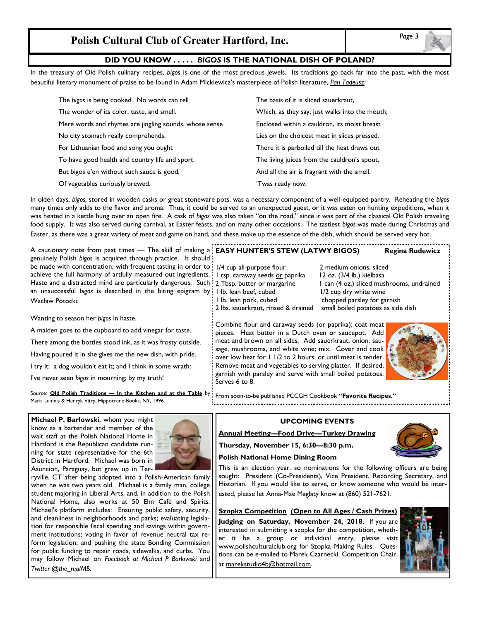# **Polish Cultural Club of Greater Hartford, Inc.**

#### **DID YOU KNOW . . . . .** *BIGOS* **IS THE NATIONAL DISH OF POLAND?**

In the treasury of Old Polish culinary recipes, *bigos* is one of the most precious jewels. Its traditions go back far into the past, with the most beautiful literary monument of praise to be found in Adam Mickiewicz's masterpiece of Polish literature, *Pan Tadeusz*:

| The bigos is being cooked. No words can tell           | The basis of it is sliced sauerkraut.          |  |
|--------------------------------------------------------|------------------------------------------------|--|
| The wonder of its color, taste, and smell.             | Which, as they say, just walks into the mouth; |  |
| Mere words and rhymes are jingling sounds, whose sense | Enclosed within a cauldron, its moist breast   |  |
| No city stomach really comprehends.                    | Lies on the choicest meat in slices pressed.   |  |
| For Lithuanian food and song you ought                 | There it is parboiled till the heat draws out  |  |
| To have good health and country life and sport.        | The living juices from the cauldron's spout,   |  |
| But bigos e'en without such sauce is good,             | And all the air is fragrant with the smell.    |  |
| Of vegetables curiously brewed.                        | 'Twas ready now.                               |  |

In olden days, *bigos,* stored in wooden casks or great stoneware pots, was a necessary component of a well-equipped pantry. Reheating the *bigos* many times only adds to the flavor and aroma. Thus, it could be served to an unexpected guest, or it was eaten on hunting expeditions, when it was heated in a kettle hung over an open fire. A cask of *bigos* was also taken "on the road," since it was part of the classical Old Polish traveling food supply. It was also served during carnival, at Easter feasts, and on many other occasions. The tastiest *bigos* was made during Christmas and Easter, as there was a great variety of meat and game on hand, and these make up the essence of the dish, which should be served very hot.

| A cautionary note from past times - The skill of making a : EASY HUNTER'S STEW (LATWY BIGOS)<br>genuinely Polish bigos is acquired through practice. It should :<br>be made with concentration, with frequent tasting in order to : 1/4 cup all-purpose flour<br>achieve the full harmony of artfully measured out ingredients. I tsp. caraway seeds or paprika                                           | 2 medium onions, sliced                                                                                                                                                                                                                                                                                                                                                                                                                                               | <b>Regina Rudewicz</b> |
|-----------------------------------------------------------------------------------------------------------------------------------------------------------------------------------------------------------------------------------------------------------------------------------------------------------------------------------------------------------------------------------------------------------|-----------------------------------------------------------------------------------------------------------------------------------------------------------------------------------------------------------------------------------------------------------------------------------------------------------------------------------------------------------------------------------------------------------------------------------------------------------------------|------------------------|
|                                                                                                                                                                                                                                                                                                                                                                                                           |                                                                                                                                                                                                                                                                                                                                                                                                                                                                       |                        |
| Haste and a distracted mind are particularly dangerous. Such : 2 Tbsp. butter or margarine<br>an unsuccessful bigos is described in the biting epigram by : I lb. lean beef, cubed<br>l Ib. lean pork, cubed<br>Wacław Potocki:                                                                                                                                                                           | 12 oz. (3/4 lb.) kielbasa<br>I can (4 oz.) sliced mushrooms, undrained<br>1/2 cup dry white wine<br>chopped parsley for garnish                                                                                                                                                                                                                                                                                                                                       |                        |
| 2 lbs. sauerkraut, rinsed & drained<br>Wanting to season her bigos in haste,<br>A maiden goes to the cupboard to add vinegar for taste.<br>There among the bottles stood ink, as it was frosty outside.<br>Having poured it in she gives me the new dish, with pride.<br>I try it: a dog wouldn't eat it; and I think in some wrath:<br>I've never seen bigos in mourning; by my truth!<br>Serves 6 to 8. | small boiled potatoes as side dish<br>Combine flour and caraway seeds (or paprika); coat meat<br>pieces. Heat butter in a Dutch oven or saucepot. Add<br>meat and brown on all sides. Add sauerkraut, onion, sau-<br>sage, mushrooms, and white wine; mix. Cover and cook<br>over low heat for 1 1/2 to 2 hours, or until meat is tender.<br>Remove meat and vegetables to serving platter. If desired,<br>garnish with parsley and serve with small boiled potatoes. |                        |

Source: **Old Polish Traditions — In the Kitchen and at the Table** by From soon-to-be published PCCGH Cookbook **"Favorite Recipes."** Maria Lemnis & Henryk Vitry, Hippocrene Books, NY, 1996.

**Michael P. Barlowski**, whom you might know as a bartender and member of the wait staff at the Polish National Home in Hartford is the Republican candidate running for state representative for the 6th District in Hartford. Michael was born in Asuncion, Paraguay, but grew up in Ter-



ryville, CT after being adopted into a Polish-American family when he was two years old. Michael is a family man, college student majoring in Liberal Arts, and, in addition to the Polish National Home, also works at 50 Elm Café and Spirits. Michael's platform includes: Ensuring public safety, security, and cleanliness in neighborhoods and parks; evaluating legislation for responsible fiscal spending and savings within government institutions; voting in favor of revenue neutral tax reform legislation; and pushing the state Bonding Commission for public funding to repair roads, sidewalks, and curbs. You may follow Michael on *Facebook at Michael P Barlowski* and *Twitter @the\_realMB*.

#### **UPCOMING EVENTS**

**Annual Meeting—Food Drive—Turkey Drawing**

**Thursday, November 15, 6:30—8:30 p.m.** 



# **Polish National Home Dining Room**

This is an election year, so nominations for the following officers are being sought: President (Co-Presidents), Vice President, Recording Secretary, and Historian. If you would like to serve, or know someone who would be interested, please let Anna-Mae Maglaty know at (860) 521-7621.

**Szopka Competition (Open to All Ages / Cash Prizes)**

**Judging on Saturday, November 24, 2018**. If you are interested in submitting a szopka for the competition, whether it be a group or individual entry, please visit www.polishculturalclub.org for Szopka Making Rules. Questions can be e-mailed to Marek Czarnecki, Competition Chair, at marekstudio4b@hotmail.com.